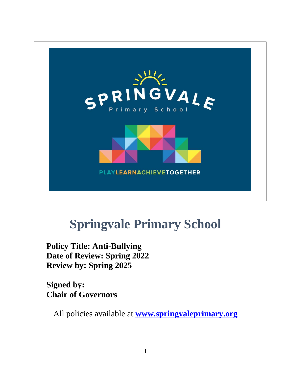

# **Springvale Primary School**

**Policy Title: Anti-Bullying Date of Review: Spring 2022 Review by: Spring 2025**

**Signed by: Chair of Governors**

All policies available at **[www.springvaleprimary.org](http://www.springvaleprimary.org/)**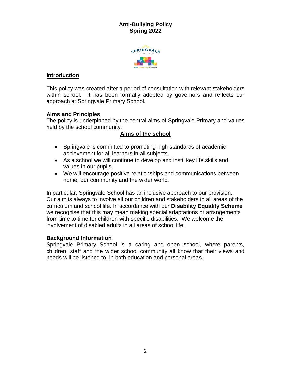## **Anti-Bullying Policy Spring 2022**



## **Introduction**

This policy was created after a period of consultation with relevant stakeholders within school. It has been formally adopted by governors and reflects our approach at Springvale Primary School.

## **Aims and Principles**

The policy is underpinned by the central aims of Springvale Primary and values held by the school community:

## **Aims of the school**

- Springvale is committed to promoting high standards of academic achievement for all learners in all subjects.
- As a school we will continue to develop and instil key life skills and values in our pupils.
- We will encourage positive relationships and communications between home, our community and the wider world.

In particular, Springvale School has an inclusive approach to our provision. Our aim is always to involve all our children and stakeholders in all areas of the curriculum and school life. In accordance with our **Disability Equality Scheme** we recognise that this may mean making special adaptations or arrangements from time to time for children with specific disabilities. We welcome the involvement of disabled adults in all areas of school life.

#### **Background Information**

Springvale Primary School is a caring and open school, where parents, children, staff and the wider school community all know that their views and needs will be listened to, in both education and personal areas.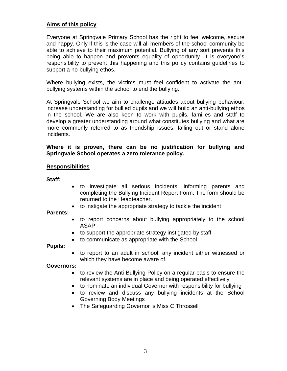### **Aims of this policy**

Everyone at Springvale Primary School has the right to feel welcome, secure and happy. Only if this is the case will all members of the school community be able to achieve to their maximum potential. Bullying of any sort prevents this being able to happen and prevents equality of opportunity. It is everyone's responsibility to prevent this happening and this policy contains guidelines to support a no-bullying ethos.

Where bullying exists, the victims must feel confident to activate the antibullying systems within the school to end the bullying.

At Springvale School we aim to challenge attitudes about bullying behaviour, increase understanding for bullied pupils and we will build an anti-bullying ethos in the school. We are also keen to work with pupils, families and staff to develop a greater understanding around what constitutes bullying and what are more commonly referred to as friendship issues, falling out or stand alone incidents.

#### **Where it is proven, there can be no justification for bullying and Springvale School operates a zero tolerance policy.**

#### **Responsibilities**

**Staff:**

- to investigate all serious incidents, informing parents and completing the Bullying Incident Report Form. The form should be returned to the Headteacher.
- to instigate the appropriate strategy to tackle the incident

#### **Parents:**

- to report concerns about bullying appropriately to the school ASAP
- to support the appropriate strategy instigated by staff
- to communicate as appropriate with the School

**Pupils:**

 to report to an adult in school, any incident either witnessed or which they have become aware of.

#### **Governors:**

- to review the Anti-Bullying Policy on a regular basis to ensure the relevant systems are in place and being operated effectively
- to nominate an individual Governor with responsibility for bullying
- to review and discuss any bullying incidents at the School Governing Body Meetings
- The Safeguarding Governor is Miss C Throssell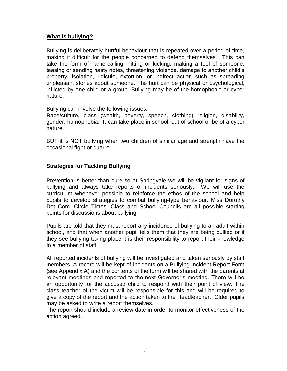## **What is bullying?**

Bullying is deliberately hurtful behaviour that is repeated over a period of time, making it difficult for the people concerned to defend themselves. This can take the form of name-calling, hitting or kicking, making a fool of someone, teasing or sending nasty notes, threatening violence, damage to another child's property, isolation, ridicule, extortion, or indirect action such as spreading unpleasant stories about someone. The hurt can be physical or psychological, inflicted by one child or a group. Bullying may be of the homophobic or cyber nature.

Bullying can involve the following issues:

Race/culture, class (wealth, poverty, speech, clothing) religion, disability, gender, homophobia. It can take place in school, out of school or be of a cyber nature.

BUT it is NOT bullying when two children of similar age and strength have the occasional fight or quarrel.

#### **Strategies for Tackling Bullying**

Prevention is better than cure so at Springvale we will be vigilant for signs of bullying and always take reports of incidents seriously. We will use the curriculum whenever possible to reinforce the ethos of the school and help pupils to develop strategies to combat bullying-type behaviour. Miss Dorothy Dot Com, Circle Times, Class and School Councils are all possible starting points for discussions about bullying.

Pupils are told that they must report any incidence of bullying to an adult within school, and that when another pupil tells them that they are being bullied or if they see bullying taking place it is their responsibility to report their knowledge to a member of staff.

All reported incidents of bullying will be investigated and taken seriously by staff members. A record will be kept of incidents on a Bullying Incident Report Form (see Appendix A) and the contents of the form will be shared with the parents at relevant meetings and reported to the next Governor's meeting. There will be an opportunity for the accused child to respond with their point of view. The class teacher of the victim will be responsible for this and will be required to give a copy of the report and the action taken to the Headteacher. Older pupils may be asked to write a report themselves.

The report should include a review date in order to monitor effectiveness of the action agreed.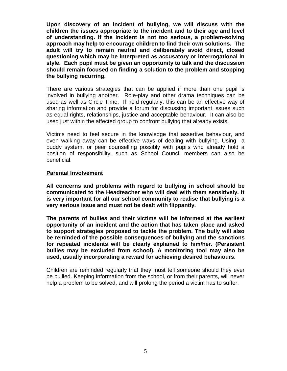**Upon discovery of an incident of bullying, we will discuss with the children the issues appropriate to the incident and to their age and level of understanding. If the incident is not too serious, a problem-solving approach may help to encourage children to find their own solutions. The adult will try to remain neutral and deliberately avoid direct, closed questioning which may be interpreted as accusatory or interrogational in style. Each pupil must be given an opportunity to talk and the discussion should remain focused on finding a solution to the problem and stopping the bullying recurring.** 

There are various strategies that can be applied if more than one pupil is involved in bullying another. Role-play and other drama techniques can be used as well as Circle Time. If held regularly, this can be an effective way of sharing information and provide a forum for discussing important issues such as equal rights, relationships, justice and acceptable behaviour. It can also be used just within the affected group to confront bullying that already exists.

Victims need to feel secure in the knowledge that assertive behaviour, and even walking away can be effective ways of dealing with bullying. Using a buddy system, or peer counselling possibly with pupils who already hold a position of responsibility, such as School Council members can also be beneficial.

#### **Parental Involvement**

**All concerns and problems with regard to bullying in school should be communicated to the Headteacher who will deal with them sensitively. It is very important for all our school community to realise that bullying is a very serious issue and must not be dealt with flippantly.**

**The parents of bullies and their victims will be informed at the earliest opportunity of an incident and the action that has taken place and asked to support strategies proposed to tackle the problem. The bully will also be reminded of the possible consequences of bullying and the sanctions for repeated incidents will be clearly explained to him/her. (Persistent bullies may be excluded from school). A monitoring tool may also be used, usually incorporating a reward for achieving desired behaviours.** 

Children are reminded regularly that they must tell someone should they ever be bullied. Keeping information from the school, or from their parents, will never help a problem to be solved, and will prolong the period a victim has to suffer.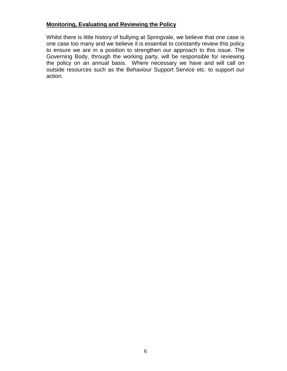## **Monitoring, Evaluating and Reviewing the Policy**

Whilst there is little history of bullying at Springvale, we believe that one case is one case too many and we believe it is essential to constantly review this policy to ensure we are in a position to strengthen our approach to this issue. The Governing Body, through the working party, will be responsible for reviewing the policy on an annual basis. Where necessary we have and will call on outside resources such as the Behaviour Support Service etc. to support our action.